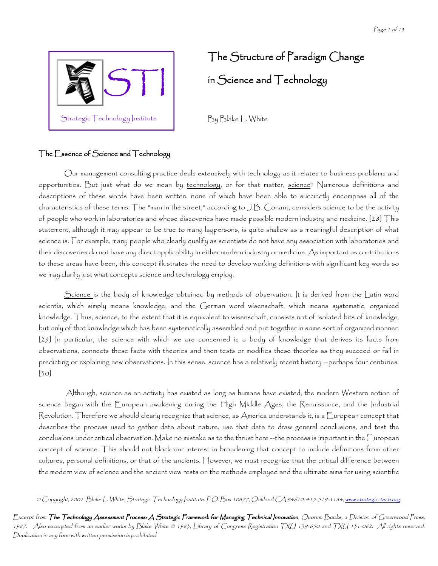

# The Structure of Paradigm Change in Science and Technology

By Blake L. White

# The Essence of Science and Technology

Our management consulting practice deals extensively with technology as it relates to business problems and opportunities. But just what do we mean by technology, or for that matter, science? Numerous definitions and descriptions of these words have been written, none of which have been able to succinctly encompass all of the characteristics of these terms. The "man in the street," according to J.B. Conant, considers science to be the activity of people who work in laboratories and whose discoveries have made possible modern industry and medicine. [28] This statement, although it may appear to be true to many laypersons, is quite shallow as a meaningful description of what science is. For example, many people who clearly qualify as scientists do not have any association with laboratories and their discoveries do not have any direct applicability in either modern industry or medicine. As important as contributions to these areas have been, this concept illustrates the need to develop working definitions with significant key words so we may clarify just what concepts science and technology employ.

Science is the body of knowledge obtained by methods of observation. It is derived from the Latin word scientia, which simply means knowledge, and the German word wisenschaft, which means systematic, organized knowledge. Thus, science, to the extent that it is equivalent to wisenschaft, consists not of isolated bits of knowledge, but only of that knowledge which has been systematically assembled and put together in some sort of organized manner. [29] In particular, the science with which we are concerned is a body of knowledge that derives its facts from observations, connects these facts with theories and then tests or modifies these theories as they succeed or fail in predicting or explaining new observations. In this sense, science has a relatively recent history --perhaps four centuries. [30]

 Although, science as an activity has existed as long as humans have existed, the modern Western notion of science began with the European awakening during the High Middle Ages, the Renaissance, and the Industrial Revolution. Therefore we should clearly recognize that science, as America understands it, is a European concept that describes the process used to gather data about nature, use that data to draw general conclusions, and test the conclusions under critical observation. Make no mistake as to the thrust here --the process is important in the European concept of science. This should not block our interest in broadening that concept to include definitions from other cultures, personal definitions, or that of the ancients. However, we must recognize that the critical difference between the modern view of science and the ancient view rests on the methods employed and the ultimate aims for using scientific

© Copyright, 2002. Blake L. White, Strategic Technology Institute. P.O. Box 10877, Oakland CA 94610, 415-519-1184, <u>www.strategic-tech.org</u>.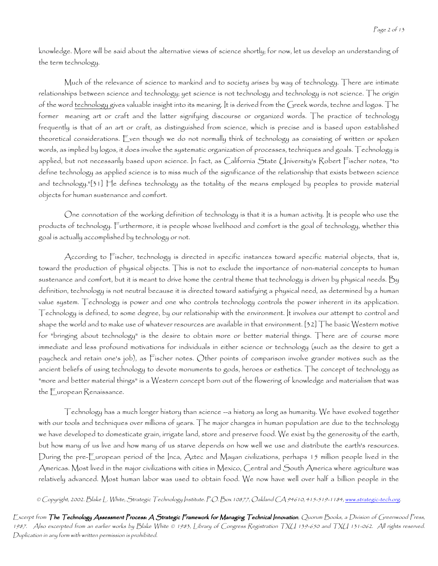knowledge. More will be said about the alternative views of science shortly; for now, let us develop an understanding of the term technology.

Much of the relevance of science to mankind and to society arises by way of technology. There are intimate relationships between science and technology; yet science is not technology and technology is not science. The origin of the word technology gives valuable insight into its meaning. It is derived from the Greek words, techne and logos. The former meaning art or craft and the latter signifying discourse or organized words. The practice of technology frequently is that of an art or craft, as distinguished from science, which is precise and is based upon established theoretical considerations. Even though we do not normally think of technology as consisting of written or spoken words, as implied by logos, it does involve the systematic organization of processes, techniques and goals. Technology is applied, but not necessarily based upon science. In fact, as California State University's Robert Fischer notes, "to define technology as applied science is to miss much of the significance of the relationship that exists between science and technology."[31] He defines technology as the totality of the means employed by peoples to provide material objects for human sustenance and comfort.

One connotation of the working definition of technology is that it is a human activity. It is people who use the products of technology. Furthermore, it is people whose livelihood and comfort is the goal of technology, whether this goal is actually accomplished by technology or not.

According to Fischer, technology is directed in specific instances toward specific material objects, that is, toward the production of physical objects. This is not to exclude the importance of non-material concepts to human sustenance and comfort, but it is meant to drive home the central theme that technology is driven by physical needs. By definition, technology is not neutral because it is directed toward satisfying a physical need, as determined by a human value system. Technology is power and one who controls technology controls the power inherent in its application. Technology is defined, to some degree, by our relationship with the environment. It involves our attempt to control and shape the world and to make use of whatever resources are available in that environment. [32] The basic Western motive for "bringing about technology" is the desire to obtain more or better material things. There are of course more immediate and less profound motivations for individuals in either science or technology (such as the desire to get a paycheck and retain one's job), as Fischer notes. Other points of comparison involve grander motives such as the ancient beliefs of using technology to devote monuments to gods, heroes or esthetics. The concept of technology as "more and better material things" is a Western concept born out of the flowering of knowledge and materialism that was the European Renaissance.

Technology has a much longer history than science --a history as long as humanity. We have evolved together with our tools and techniques over millions of years. The major changes in human population are due to the technology we have developed to domesticate grain, irrigate land, store and preserve food. We exist by the generosity of the earth, but how many of us live and how many of us starve depends on how well we use and distribute the earth's resources. During the pre-European period of the Inca, Aztec and Mayan civilizations, perhaps 15 million people lived in the Americas. Most lived in the major civilizations with cities in Mexico, Central and South America where agriculture was relatively advanced. Most human labor was used to obtain food. We now have well over half a billion people in the

© Copyright, 2002. Blake L. White, Strategic Technology Institute. P.O. Box 10877, Oakland CA 94610, 415-519-1184, <u>www.strategic-tech.org</u>.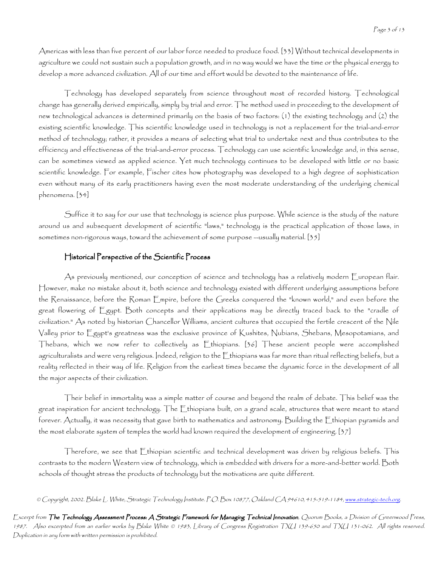Americas with less than five percent of our labor force needed to produce food. [33] Without technical developments in agriculture we could not sustain such a population growth, and in no way would we have the time or the physical energy to develop a more advanced civilization. All of our time and effort would be devoted to the maintenance of life.

Technology has developed separately from science throughout most of recorded history. Technological change has generally derived empirically, simply by trial and error. The method used in proceeding to the development of new technological advances is determined primarily on the basis of two factors: (1) the existing technology and (2) the existing scientific knowledge. This scientific knowledge used in technology is not a replacement for the trial-and-error method of technology; rather, it provides a means of selecting what trial to undertake next and thus contributes to the efficiency and effectiveness of the trial-and-error process. Technology can use scientific knowledge and, in this sense, can be sometimes viewed as applied science. Yet much technology continues to be developed with little or no basic scientific knowledge. For example, Fischer cites how photography was developed to a high degree of sophistication even without many of its early practitioners having even the most moderate understanding of the underlying chemical phenomena. [34]

Suffice it to say for our use that technology is science plus purpose. While science is the study of the nature around us and subsequent development of scientific "laws," technology is the practical application of those laws, in sometimes non-rigorous ways, toward the achievement of some purpose --usually material. [35]

#### Historical Perspective of the Scientific Process

As previously mentioned, our conception of science and technology has a relatively modern European flair. However, make no mistake about it, both science and technology existed with different underlying assumptions before the Renaissance, before the Roman Empire, before the Greeks conquered the "known world," and even before the great flowering of Egypt. Both concepts and their applications may be directly traced back to the "cradle of civilization." As noted by historian Chancellor Williams, ancient cultures that occupied the fertile crescent of the Nile Valley prior to Egypt's greatness was the exclusive province of Kushites, Nubians, Shebans, Mesopotamians, and Thebans, which we now refer to collectively as Ethiopians. [36] These ancient people were accomplished agriculturalists and were very religious. Indeed, religion to the Ethiopians was far more than ritual reflecting beliefs, but a reality reflected in their way of life. Religion from the earliest times became the dynamic force in the development of all the major aspects of their civilization.

Their belief in immortality was a simple matter of course and beyond the realm of debate. This belief was the great inspiration for ancient technology. The Ethiopians built, on a grand scale, structures that were meant to stand forever. Actually, it was necessity that gave birth to mathematics and astronomy. Building the Ethiopian pyramids and the most elaborate system of temples the world had known required the development of engineering. [37]

Therefore, we see that Ethiopian scientific and technical development was driven by religious beliefs. This contrasts to the modern Western view of technology, which is embedded with drivers for a more-and-better world. Both schools of thought stress the products of technology but the motivations are quite different.

© Copyright, 2002. Blake L. White, Strategic Technology Institute. P.O. Box 10877, Oakland CA 94610, 415-519-1184, <u>www.strategic-tech.org</u>.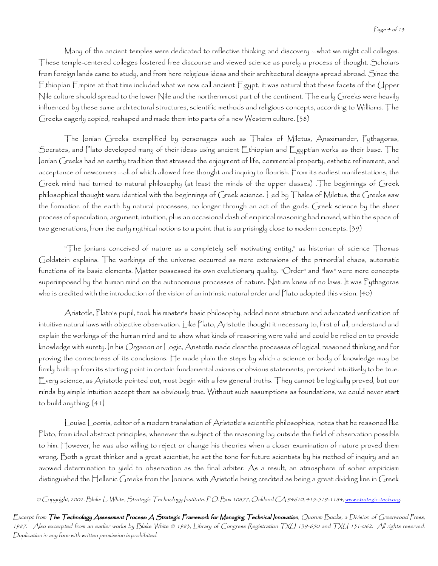Many of the ancient temples were dedicated to reflective thinking and discovery --what we might call colleges. These temple-centered colleges fostered free discourse and viewed science as purely a process of thought. Scholars from foreign lands came to study, and from here religious ideas and their architectural designs spread abroad. Since the Ethiopian Empire at that time included what we now call ancient Egypt, it was natural that these facets of the Upper Nile culture should spread to the lower Nile and the northernmost part of the continent. The early Greeks were heavily influenced by these same architectural structures, scientific methods and religious concepts, according to Williams. The Greeks eagerly copied, reshaped and made them into parts of a new Western culture. [38)

The Ionian Greeks exemplified by personages such as Thales of Miletus, Anaximander, Pythagoras, Socrates, and Plato developed many of their ideas using ancient Ethiopian and Egyptian works as their base. The Ionian Greeks had an earthy tradition that stressed the enjoyment of life, commercial property, esthetic refinement, and acceptance of newcomers --all of which allowed free thought and inquiry to flourish. From its earliest manifestations, the Greek mind had turned to natural philosophy (at least the minds of the upper classes) .The beginnings of Greek philosophical thought were identical with the beginnings of Greek science. Led by Thales of Miletus, the Greeks saw the formation of the earth by natural processes, no longer through an act of the gods. Greek science by the sheer process of speculation, argument, intuition, plus an occasional dash of empirical reasoning had moved, within the space of two generations, from the early mythical notions to a point that is surprisingly close to modern concepts. [39)

"The Ionians conceived of nature as a completely self motivating entity," as historian of science Thomas Goldstein explains. The workings of the universe occurred as mere extensions of the primordial chaos, automatic functions of its basic elements. Matter possessed its own evolutionary quality. "Order" and "law" were mere concepts superimposed by the human mind on the autonomous processes of nature. Nature knew of no laws. It was Pythagoras who is credited with the introduction of the vision of an intrinsic natural order and Plato adopted this vision. [40)

Aristotle, Plato's pupil, took his master's basic philosophy, added more structure and advocated verification of intuitive natural laws with objective observation. Like Plato, Aristotle thought it necessary to, first of all, understand and explain the workings of the human mind and to show what kinds of reasoning were valid and could be relied on to provide knowledge with surety. In his Organon or Logic, Aristotle made clear the processes of logical, reasoned thinking and for proving the correctness of its conclusions. He made plain the steps by which a science or body of knowledge may be firmly built up from its starting point in certain fundamental axioms or obvious statements, perceived intuitively to be true. Every science, as Aristotle pointed out, must begin with a few general truths. They cannot be logically proved, but our minds by simple intuition accept them as obviously true. Without such assumptions as foundations, we could never start to build anything. [41]

Louise Loomis, editor of a modern translation of Aristotle's scientific philosophies, notes that he reasoned like Plato, from ideal abstract principles, whenever the subject of the reasoning lay outside the field of observation possible to him. However, he was also willing to reject or change his theories when a closer examination of nature proved them wrong. Both a great thinker and a great scientist, he set the tone for future scientists by his method of inquiry and an avowed determination to yield to observation as the final arbiter. As a result, an atmosphere of sober empiricism distinguished the Hellenic Greeks from the Ionians, with Aristotle being credited as being a great dividing line in Greek

© Copyright, 2002. Blake L. White, Strategic Technology Institute. P.O. Box 10877, Oakland CA 94610, 415-519-1184, <u>www.strategic-tech.org</u>.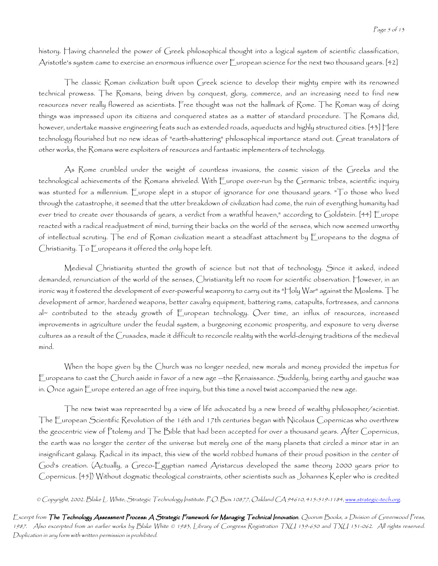history. Having channeled the power of Greek philosophical thought into a logical system of scientific classification, Aristotle's system came to exercise an enormous influence over European science for the next two thousand years. [42]

The classic Roman civilization built upon Greek science to develop their mighty empire with its renowned technical prowess. The Romans, being driven by conquest, glory, commerce, and an increasing need to find new resources never really flowered as scientists. Free thought was not the hallmark of Rome. The Roman way of doing things was impressed upon its citizens and conquered states as a matter of standard procedure. The Romans did, however, undertake massive engineering feats such as extended roads, aqueducts and highly structured cities. [43] Here technology flourished but no new ideas of "earth-shattering" philosophical importance stand out. Great translators of other works, the Romans were exploiters of resources and fantastic implementers of technology.

As Rome crumbled under the weight of countless invasions, the cosmic vision of the Greeks and the technological achievements of the Romans shriveled. With Europe over-run by the Germanic tribes, scientific inquiry was stunted for a millennium. Europe slept in a stupor of ignorance for one thousand years. "To those who lived through the catastrophe, it seemed that the utter breakdown of civilization had come, the ruin of everything humanity had ever tried to create over thousands of years, a verdict from a wrathful heaven," according to Goldstein. [44] Europe reacted with a radical readjustment of mind, turning their backs on the world of the senses, which now seemed unworthy of intellectual scrutiny. The end of Roman civilization meant a steadfast attachment by Europeans to the dogma of Christianity. To Europeans it offered the only hope left.

Medieval Christianity stunted the growth of science but not that of technology. Since it asked, indeed demanded, renunciation of the world of the senses, Christianity left no room for scientific observation. However, in an ironic way it fostered the development of ever-powerful weaponry to carry out its "Holy War" against the Moslems. The development of armor, hardened weapons, better cavalry equipment, battering rams, catapults, fortresses, and cannons al~ contributed to the steady growth of European technology. Over time, an influx of resources, increased improvements in agriculture under the feudal system, a burgeoning economic prosperity, and exposure to very diverse cultures as a result of the Crusades, made it difficult to reconcile reality with the world-denying traditions of the medieval mind.

When the hope given by the Church was no longer needed, new morals and money provided the impetus for Europeans to cast the Church aside in favor of a new age --the Renaissance. Suddenly, being earthy and gauche was in. Once again Europe entered an age of free inquiry, but this time a novel twist accompanied the new age.

The new twist was represented by a view of life advocated by a new breed of wealthy philosopher/scientist. The European Scientific Revolution of the 16th and 17th centuries began with Nicolaus Copernicas who overthrew the geocentric view of Ptolemy and The Bible that had been accepted for over a thousand years. After Copernicus, the earth was no longer the center of the universe but merely one of the many planets that circled a minor star in an insignificant galaxy. Radical in its impact, this view of the world robbed humans of their proud position in the center of God's creation. (Actually, a Greco-Egyptian named Aristarcus developed the same theory 2000 years prior to Copernicus. [45]) Without dogmatic theological constraints, other scientists such as Johannes Kepler who is credited

© Copyright, 2002. Blake L. White, Strategic Technology Institute. P.O. Box 10877, Oakland CA 94610, 415-519-1184, <u>www.strategic-tech.org</u>.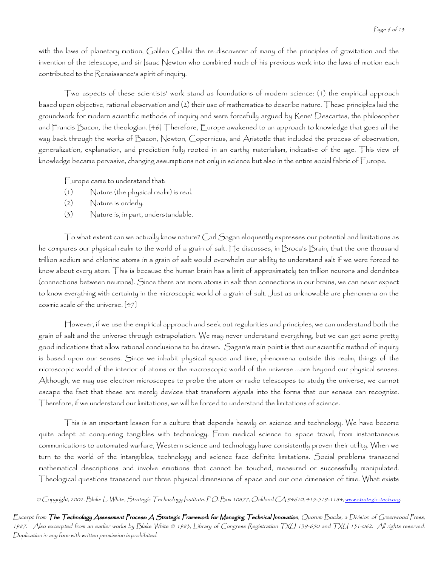with the laws of planetary motion, Galileo Galilei the re-discoverer of many of the principles of gravitation and the invention of the telescope, and sir Isaac Newton who combined much of his previous work into the laws of motion each contributed to the Renaissance's spirit of inquiry.

Two aspects of these scientists' work stand as foundations of modern science: (1) the empirical approach based upon objective, rational observation and (2) their use of mathematics to describe nature. These principles laid the groundwork for modern scientific methods of inquiry and were forcefully argued by Rene' Descartes, the philosopher and Francis Bacon, the theologian. [46] Therefore, Europe awakened to an approach to knowledge that goes all the way back through the works of Bacon, Newton, Copernicus, and Aristotle that included the process of observation, generalization, explanation, and prediction fully rooted in an earthy materialism, indicative of the age. This view of knowledge became pervasive, changing assumptions not only in science but also in the entire social fabric of Europe.

Europe came to understand that:

- (1) Nature (the physical realm) is real.
- (2) Nature is orderly.
- (3) Nature is, in part, understandable.

To what extent can we actually know nature? Carl Sagan eloquently expresses our potential and limitations as he compares our physical realm to the world of a grain of salt. He discusses, in Broca's Brain, that the one thousand trillion sodium and chlorine atoms in a grain of salt would overwhelm our ability to understand salt if we were forced to know about every atom. This is because the human brain has a limit of approximately ten trillion neurons and dendrites (connections between neurons). Since there are more atoms in salt than connections in our brains, we can never expect to know everything with certainty in the microscopic world of a grain of salt. Just as unknowable are phenomena on the cosmic scale of the universe. [47]

However, if we use the empirical approach and seek out regularities and principles, we can understand both the grain of salt and the universe through extrapolation. We may never understand everything, but we can get some pretty good indications that allow rational conclusions to be drawn. Sagan's main point is that our scientific method of inquiry is based upon our senses. Since we inhabit physical space and time, phenomena outside this realm, things of the microscopic world of the interior of atoms or the macroscopic world of the universe --are beyond our physical senses. Although, we may use electron microscopes to probe the atom or radio telescopes to study the universe, we cannot escape the fact that these are merely devices that transform signals into the forms that our senses can recognize. Therefore, if we understand our limitations, we will be forced to understand the limitations of science.

This is an important lesson for a culture that depends heavily on science and technology. We have become quite adept at conquering tangibles with technology. From medical science to space travel, from instantaneous communications to automated warfare, Western science and technology have consistently proven their utility. When we turn to the world of the intangibles, technology and science face definite limitations. Social problems transcend mathematical descriptions and involve emotions that cannot be touched, measured or successfully manipulated. Theological questions transcend our three physical dimensions of space and our one dimension of time. What exists

© Copyright, 2002. Blake L. White, Strategic Technology Institute. P.O. Box 10877, Oakland CA 94610, 415-519-1184, <u>www.strategic-tech.org</u>.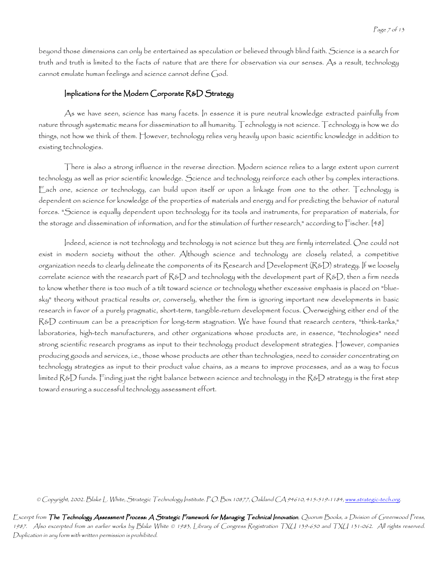beyond those dimensions can only be entertained as speculation or believed through blind faith. Science is a search for truth and truth is limited to the facts of nature that are there for observation via our senses. As a result, technology cannot emulate human feelings and science cannot define God.

### Implications for the Modern Corporate  $R&D$  Strategy

As we have seen, science has many facets. In essence it is pure neutral knowledge extracted painfully from nature through systematic means for dissemination to all humanity. Technology is not science. Technology is how we do things, not how we think of them. However, technology relies very heavily upon basic scientific knowledge in addition to existing technologies.

There is also a strong influence in the reverse direction. Modern science relies to a large extent upon current technology as well as prior scientific knowledge. Science and technology reinforce each other by complex interactions. Each one, science or technology, can build upon itself or upon a linkage from one to the other. Technology is dependent on science for knowledge of the properties of materials and energy and for predicting the behavior of natural forces. "Science is equally dependent upon technology for its tools and instruments, for preparation of materials, for the storage and dissemination of information, and for the stimulation of further research," according to Fischer. [48]

Indeed, science is not technology and technology is not science but they are firmly interrelated. One could not exist in modern society without the other. Although science and technology are closely related, a competitive organization needs to clearly delineate the components of its Research and Development (R&D) strategy. If we loosely correlate science with the research part of  $R&D$  and technology with the development part of  $R&D$ , then a firm needs to know whether there is too much of a tilt toward science or technology whether excessive emphasis is placed on "bluesky" theory without practical results or, conversely, whether the firm is ignoring important new developments in basic research in favor of a purely pragmatic, short-term, tangible-return development focus. Overweighing either end of the R&D continuum can be a prescription for long-term stagnation. We have found that research centers, "think-tanks," laboratories, high-tech manufacturers, and other organizations whose products are, in essence, "technologies" need strong scientific research programs as input to their technology product development strategies. However, companies producing goods and services, i.e., those whose products are other than technologies, need to consider concentrating on technology strategies as input to their product value chains, as a means to improve processes, and as a way to focus limited R&D funds. Finding just the right balance between science and technology in the R&D strategy is the first step toward ensuring a successful technology assessment effort.

<sup>©</sup> Copyright, 2002. Blake L. White, Strategic Technology Institute. P.O. Box 10877, Oakland CA 94610, 415-519-1184, <u>www.strategic-tech.org</u>.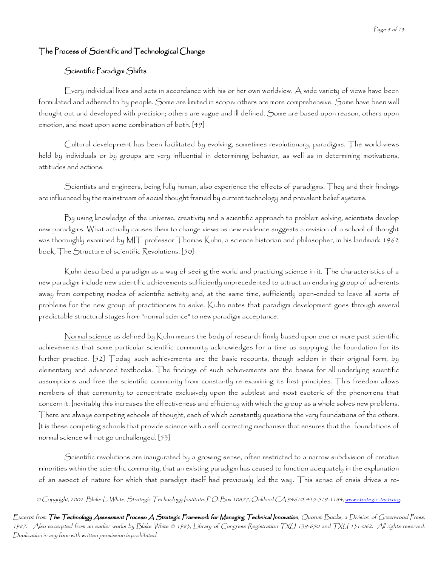# The Process of Scientific and Technological Change

## Scientific Paradigm Shifts

Every individual lives and acts in accordance with his or her own worldview. A wide variety of views have been formulated and adhered to by people. Some are limited in scope; others are more comprehensive. Some have been well thought out and developed with precision; others are vague and ill defined. Some are based upon reason, others upon emotion, and most upon some combination of both. [49]

Cultural development has been facilitated by evolving, sometimes revolutionary, paradigms. The world-views held by individuals or by groups are very influential in determining behavior, as well as in determining motivations, attitudes and actions.

Scientists and engineers, being fully human, also experience the effects of paradigms. They and their findings are influenced by the mainstream of social thought framed by current technology and prevalent belief systems.

By using knowledge of the universe, creativity and a scientific approach to problem solving, scientists develop new paradigms. What actually causes them to change views as new evidence suggests a revision of a school of thought was thoroughly examined by MIT professor Thomas Kuhn, a science historian and philosopher, in his landmark 1962 book, The Structure of scientific Revolutions. [50]

Kuhn described a paradigm as a way of seeing the world and practicing science in it. The characteristics of a new paradigm include new scientific achievements sufficiently unprecedented to attract an enduring group of adherents away from competing modes of scientific activity and, at the same time, sufficiently open-ended to leave all sorts of problems for the new group of practitioners to solve. Kuhn notes that paradigm development goes through several predictable structural stages from "normal science" to new paradigm acceptance.

Normal science as defined by Kuhn means the body of research firmly based upon one or more past scientific achievements that some particular scientific community acknowledges for a time as supplying the foundation for its further practice. [52] Today such achievements are the basic recounts, though seldom in their original form, by elementary and advanced textbooks. The findings of such achievements are the bases for all underlying scientific assumptions and free the scientific community from constantly re-examining its first principles. This freedom allows members of that community to concentrate exclusively upon the subtlest and most esoteric of the phenomena that concern it. Inevitably this increases the effectiveness and efficiency with which the group as a whole solves new problems. There are always competing schools of thought, each of which constantly questions the very foundations of the others. It is these competing schools that provide science with a self-correcting mechanism that ensures that the- foundations of normal science will not go unchallenged. [53]

Scientific revolutions are inaugurated by a growing sense, often restricted to a narrow subdivision of creative minorities within the scientific community, that an existing paradigm has ceased to function adequately in the explanation of an aspect of nature for which that paradigm itself had previously led the way. This sense of crisis drives a re-

© Copyright, 2002. Blake L. White, Strategic Technology Institute. P.O. Box 10877, Oakland CA 94610, 415-519-1184, www.strategic-tech.org.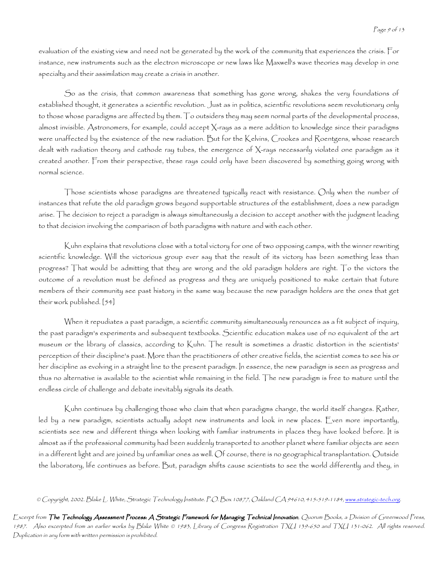evaluation of the existing view and need not be generated by the work of the community that experiences the crisis. For instance, new instruments such as the electron microscope or new laws like Maxwell's wave theories may develop in one specialty and their assimilation may create a crisis in another.

So as the crisis, that common awareness that something has gone wrong, shakes the very foundations of established thought, it generates a scientific revolution. Just as in politics, scientific revolutions seem revolutionary only to those whose paradigms are affected by them. To outsiders they may seem normal parts of the developmental process, almost invisible. Astronomers, for example, could accept X-rays as a mere addition to knowledge since their paradigms were unaffected by the existence of the new radiation. But for the Kelvins, Crookes and Roentgens, whose research dealt with radiation theory and cathode ray tubes, the emergence of X-rays necessarily violated one paradigm as it created another. From their perspective, these rays could only have been discovered by something going wrong with normal science.

Those scientists whose paradigms are threatened typically react with resistance. Only when the number of instances that refute the old paradigm grows beyond supportable structures of the establishment, does a new paradigm arise. The decision to reject a paradigm is always simultaneously a decision to accept another with the judgment leading to that decision involving the comparison of both paradigms with nature and with each other.

Kuhn explains that revolutions close with a total victory for one of two opposing camps, with the winner rewriting scientific knowledge. Will the victorious group ever say that the result of its victory has been something less than progress? That would be admitting that they are wrong and the old paradigm holders are right. To the victors the outcome of a revolution must be defined as progress and they are uniquely positioned to make certain that future members of their community see past history in the same way because the new paradigm holders are the ones that get their work published. [54]

When it repudiates a past paradigm, a scientific community simultaneously renounces as a fit subject of inquiry, the past paradigm's experiments and subsequent textbooks. Scientific education makes use of no equivalent of the art museum or the library of classics, according to Kuhn. The result is sometimes a drastic distortion in the scientists' perception of their discipline's past. More than the practitioners of other creative fields, the scientist comes to see his or her discipline as evolving in a straight line to the present paradigm. In essence, the new paradigm is seen as progress and thus no alternative is available to the scientist while remaining in the field. The new paradigm is free to mature until the endless circle of challenge and debate inevitably signals its death.

Kuhn continues by challenging those who claim that when paradigms change, the world itself changes. Rather, led by a new paradigm, scientists actually adopt new instruments and look in new places. Even more importantly, scientists see new and different things when looking with familiar instruments in places they have looked before. It is almost as if the professional community had been suddenly transported to another planet where familiar objects are seen in a different light and are joined by unfamiliar ones as well. Of course, there is no geographical transplantation. Outside the laboratory, life continues as before. But, paradigm shifts cause scientists to see the world differently and they, in

<sup>©</sup> Copyright, 2002. Blake L. White, Strategic Technology Institute. P.O. Box 10877, Oakland CA 94610, 415-519-1184, <u>www.strategic-tech.org</u>.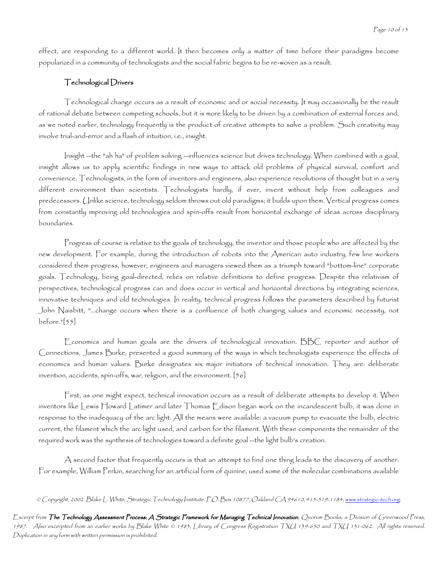effect, are responding to a different world. It then becomes only a matter of time before their paradigms become popularized in a community of technologists and the social fabric begins to be re-woven as a result.

#### Technological Drivers

Technological change occurs as a result of economic and or social necessity. It may occasionally be the result of rational debate between competing schools, but it is more likely to be driven by a combination of external forces and, as we noted earlier, technology frequently is the product of creative attempts to solve a problem. Such creativity may involve trial-and-error and a flash of intuition, i.e., insight.

Insight --the "ah ha" of problem solving --influences science but drives technology. When combined with a goal, insight allows us to apply scientific findings in new ways to attack old problems of physical survival, comfort and convenience. Technologists, in the form of inventors and engineers, also experience revolutions of thought but in a very different environment than scientists. Technologists hardly, if ever, invent without help from colleagues and predecessors. Unlike science, technology seldom throws out old paradigms; it builds upon them. Vertical progress comes from constantly improving old technologies and spin-offs result from horizontal exchange of ideas across disciplinary boundaries.

Progress of course is relative to the goals of technology, the inventor and those people who are affected by the new development. For example, during the introduction of robots into the American auto industry, few line workers considered them progress, however, engineers and managers viewed them as a triumph toward "bottom-line" corporate goals. Technology, being goal-directed, relies on relative definitions to define progress. Despite this relativism of perspectives, technological progress can and does occur in vertical and horizontal directions by integrating sciences, innovative techniques and old technologies. In reality, technical progress follows the parameters described by futurist John Naisbitt, "...change occurs when there is a confluence of both changing values and economic necessity, not before."[55]

Economics and human goals are the drivers of technological innovation. BBC reporter and author of Connections, James Burke, presented a good summary of the ways in which technologists experience the effects of economics and human values. Burke designates six major initiators of technical innovation. They are: deliberate invention, accidents, spin-offs, war, religion, and the environment. [56]

First, as one might expect, technical innovation occurs as a result of deliberate attempts to develop it. When inventors like Lewis Howard Latimer and later Thomas Edison began work on the incandescent bulb, it was done in response to the inadequacy of the arc light. All the means were available: a vacuum pump to evacuate the bulb, electric current, the filament which the arc light used, and carbon for the filament. With these components the remainder of the required work was the synthesis of technologies toward a definite goal --the light bulb's creation.

A second factor that frequently occurs is that an attempt to find one thing leads to the discovery of another. For example, William Perkin, searching for an artificial form of quinine, used some of the molecular combinations available

© Copyright, 2002. Blake L. White, Strategic Technology Institute. P.O. Box 10877, Oakland CA 94610, 415-519-1184, <u>www.strategic-tech.org</u>.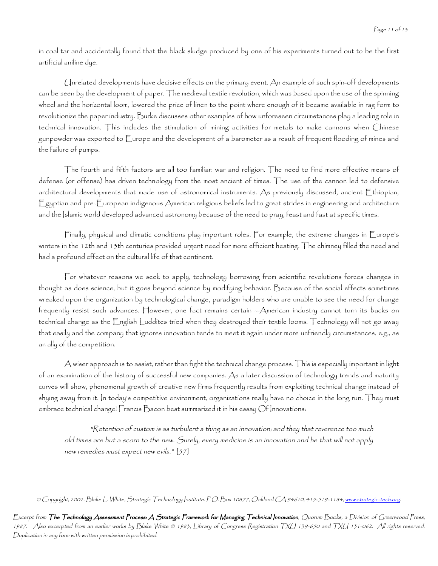in coal tar and accidentally found that the black sludge produced by one of his experiments turned out to be the first artificial aniline dye.

Unrelated developments have decisive effects on the primary event. An example of such spin-off developments can be seen by the development of paper. The medieval textile revolution, which was based upon the use of the spinning wheel and the horizontal loom, lowered the price of linen to the point where enough of it became available in rag form to revolutionize the paper industry. Burke discusses other examples of how unforeseen circumstances play a leading role in technical innovation. This includes the stimulation of mining activities for metals to make cannons when Chinese gunpowder was exported to Europe and the development of a barometer as a result of frequent flooding of mines and the failure of pumps.

The fourth and fifth factors are all too familiar: war and religion. The need to find more effective means of defense (or offense) has driven technology from the most ancient of times. The use of the cannon led to defensive architectural developments that made use of astronomical instruments. As previously discussed, ancient Ethiopian, Egyptian and pre-European indigenous American religious beliefs led to great strides in engineering and architecture and the Islamic world developed advanced astronomy because of the need to pray, feast and fast at specific times.

Finally, physical and climatic conditions play important roles. For example, the extreme changes in Europe's winters in the 12th and 13th centuries provided urgent need for more efficient heating. The chimney filled the need and had a profound effect on the cultural life of that continent.

For whatever reasons we seek to apply, technology borrowing from scientific revolutions forces changes in thought as does science, but it goes beyond science by modifying behavior. Because of the social effects sometimes wreaked upon the organization by technological change, paradigm holders who are unable to see the need for change frequently resist such advances. However, one fact remains certain --American industry cannot turn its backs on technical change as the English Luddites tried when they destroyed their textile looms. Technology will not go away that easily and the company that ignores innovation tends to meet it again under more unfriendly circumstances, e.g., as an ally of the competition.

A wiser approach is to assist, rather than fight the technical change process. This is especially important in light of an examination of the history of successful new companies. As a later discussion of technology trends and maturity curves will show, phenomenal growth of creative new firms frequently results from exploiting technical change instead of shying away from it. In today's competitive environment, organizations really have no choice in the long run. They must embrace technical change! Francis Bacon best summarized it in his essay Of Innovations:

"Retention of custom is as turbulent a thing as an innovation; and they that reverence too much old times are but a scorn to the new. Surely, every medicine is an innovation and he that will not apply new remedies must expect new evils." [57]

© Copyright, 2002. Blake L. White, Strategic Technology Institute. P.O. Box 10877, Oakland CA 94610, 415-519-1184, <u>www.strategic-tech.org</u>.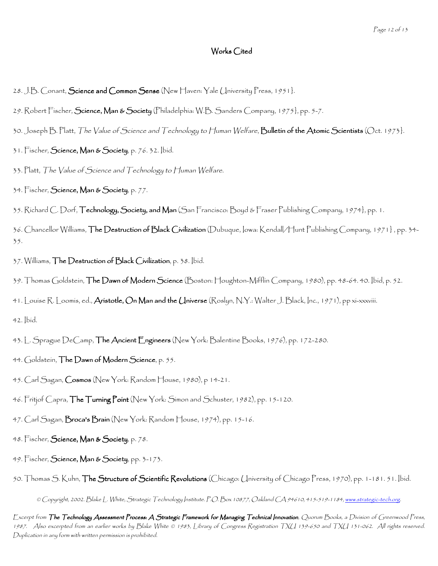### Works Cited

- 28. J.B. Conant,  $S$ cience and Common Sense (New Haven: Yale University Press, 1951).
- 29. Robert Fischer, Science, Man & Society (Philadelphia: W.B. Sanders Company, 1975}, pp. 5-7.
- 30. Joseph B. Platt, The Value of Science and Technology to Human Welfare, Bulletin of the Atomic Scientists (Oct. 1973).
- $31.$  Fischer, Science, Man & Society, p. 76. 32. Ibid.
- 33. Platt, The Value of Science and Technology to Human Welfare.
- $34.$  Fischer, Science, Man & Society, p. 77.
- 35. Richard C. Dorf, **Technology, Society, and Man** (San Francisco: Boyd & Fraser Publishing Company, 1974}, pp. 1.
- 36. Chancellor Williams, **The Destruction of Black Civilization** (Dubuque, Iowa: Kendall/Hunt Publishing Company, 1971}, pp. 34– 35.
- 37. Williams, The Destruction of Black Civilization, p. 38. Ibid.
- 39. Thomas Goldstein, **The Dawn of Modern Science** (Boston: Houghton-Mifflin Company, 1980), pp. 48-64. 40. [bid, p. 52.
- 41. Louise R. Loomis, ed., **Aristotle, On Man and the Universe** (Roslyn, N.Y.: Walter J. Black, Inc., 1971), pp xi-xxxviii.

42. Ibid.

- 43. L. Sprague DeCamp, The Ancient Engineers (New York: Balentine Books, 1976), pp. 172-280.
- 44. Goldstein,  $\mathsf{The}$  Dawn of Modern Science, p. 55.
- 45. Carl Sagan, Cosmos (New York: Random House, 1980), p 14-21.
- 46. Fritjof Capra, The Turning Point (New York: Simon and Schuster, 1982), pp. 15-120.
- 47. Carl Sagan, **Broca's Brain** (New York: Random House, 1974), pp. 15-16.
- 48. Fischer, Science, Man & Society, p. 78.
- 49. Fischer, Science, Man & Society, pp. 3-173.
- © Copyright, 2002. Blake L. White, Strategic Technology Institute. P.O. Box 10877, Oakland CA 94610, 415-519-1184, <u>www.strategic-tech.org</u>. 50. Thomas S. Kuhn, The Structure of Scientific Revolutions (Chicago: University of Chicago Press, 1970), pp. 1-181. 51. Ibid.